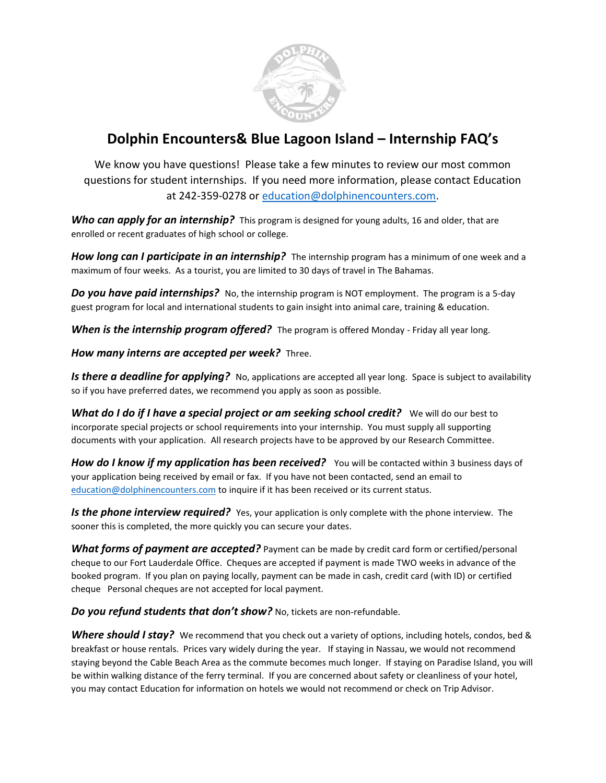

## **Dolphin Encounters& Blue Lagoon Island – Internship FAQ's**

We know you have questions! Please take a few minutes to review our most common questions for student internships. If you need more information, please contact Education at 242-359-0278 or [education@dolphinencounters.com.](mailto:education@dolphinencounters.com)

*Who can apply for an internship?* This program is designed for young adults, 16 and older, that are enrolled or recent graduates of high school or college.

*How long can I participate in an internship?* The internship program has a minimum of one week and a maximum of four weeks. As a tourist, you are limited to 30 days of travel in The Bahamas.

**Do you have paid internships?** No, the internship program is NOT employment. The program is a 5-day guest program for local and international students to gain insight into animal care, training & education.

*When is the internship program offered?* The program is offered Monday - Friday all year long.

## *How many interns are accepted per week?* Three.

*Is there a deadline for applying?* No, applications are accepted all year long. Space is subject to availability so if you have preferred dates, we recommend you apply as soon as possible.

**What do I do if I have a special project or am seeking school credit?** We will do our best to incorporate special projects or school requirements into your internship. You must supply all supporting documents with your application. All research projects have to be approved by our Research Committee.

**How do I know if my application has been received?** You will be contacted within 3 business days of your application being received by email or fax. If you have not been contacted, send an email to [education@dolphinencounters.com](mailto:education@dolphinencounters.com) to inquire if it has been received or its current status.

**Is the phone interview required?** Yes, your application is only complete with the phone interview. The sooner this is completed, the more quickly you can secure your dates.

**What forms of payment are accepted?** Payment can be made by credit card form or certified/personal cheque to our Fort Lauderdale Office. Cheques are accepted if payment is made TWO weeks in advance of the booked program. If you plan on paying locally, payment can be made in cash, credit card (with ID) or certified cheque Personal cheques are not accepted for local payment.

*Do you refund students that don't show?* No, tickets are non-refundable.

**Where should I stay?** We recommend that you check out a variety of options, including hotels, condos, bed & breakfast or house rentals. Prices vary widely during the year. If staying in Nassau, we would not recommend staying beyond the Cable Beach Area as the commute becomes much longer. If staying on Paradise Island, you will be within walking distance of the ferry terminal. If you are concerned about safety or cleanliness of your hotel, you may contact Education for information on hotels we would not recommend or check on Trip Advisor.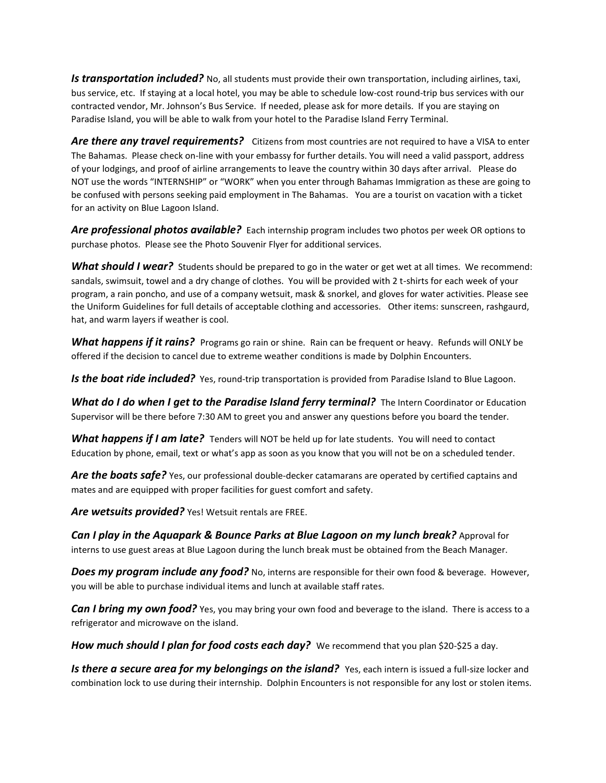*Is transportation included?* No, all students must provide their own transportation, including airlines, taxi, bus service, etc. If staying at a local hotel, you may be able to schedule low-cost round-trip bus services with our contracted vendor, Mr. Johnson's Bus Service. If needed, please ask for more details. If you are staying on Paradise Island, you will be able to walk from your hotel to the Paradise Island Ferry Terminal.

Are there any travel requirements? Citizens from most countries are not required to have a VISA to enter The Bahamas. Please check on-line with your embassy for further details. You will need a valid passport, address of your lodgings, and proof of airline arrangements to leave the country within 30 days after arrival. Please do NOT use the words "INTERNSHIP" or "WORK" when you enter through Bahamas Immigration as these are going to be confused with persons seeking paid employment in The Bahamas. You are a tourist on vacation with a ticket for an activity on Blue Lagoon Island.

*Are professional photos available?* Each internship program includes two photos per week OR options to purchase photos. Please see the Photo Souvenir Flyer for additional services.

*What should I wear?* Students should be prepared to go in the water or get wet at all times. We recommend: sandals, swimsuit, towel and a dry change of clothes. You will be provided with 2 t-shirts for each week of your program, a rain poncho, and use of a company wetsuit, mask & snorkel, and gloves for water activities. Please see the Uniform Guidelines for full details of acceptable clothing and accessories. Other items: sunscreen, rashgaurd, hat, and warm layers if weather is cool.

*What happens if it rains?* Programs go rain or shine. Rain can be frequent or heavy. Refunds will ONLY be offered if the decision to cancel due to extreme weather conditions is made by Dolphin Encounters.

Is the boat ride included? Yes, round-trip transportation is provided from Paradise Island to Blue Lagoon.

*What do I do when I get to the Paradise Island ferry terminal?* The Intern Coordinator or Education Supervisor will be there before 7:30 AM to greet you and answer any questions before you board the tender.

*What happens if I am late?* Tenders will NOT be held up for late students. You will need to contact Education by phone, email, text or what's app as soon as you know that you will not be on a scheduled tender.

*Are the boats safe?* Yes, our professional double-decker catamarans are operated by certified captains and mates and are equipped with proper facilities for guest comfort and safety.

*Are wetsuits provided?* Yes! Wetsuit rentals are FREE.

*Can I play in the Aquapark & Bounce Parks at Blue Lagoon on my lunch break?* Approval for interns to use guest areas at Blue Lagoon during the lunch break must be obtained from the Beach Manager.

**Does my program** *include any food?* No, interns are responsible for their own food & beverage. However, you will be able to purchase individual items and lunch at available staff rates.

*Can I bring my own food?* Yes, you may bring your own food and beverage to the island. There is access to a refrigerator and microwave on the island.

**How much should I plan for food costs each day?** We recommend that you plan \$20-\$25 a day.

Is there a secure area for my belongings on the *island?* Yes, each intern is issued a full-size locker and combination lock to use during their internship. Dolphin Encounters is not responsible for any lost or stolen items.